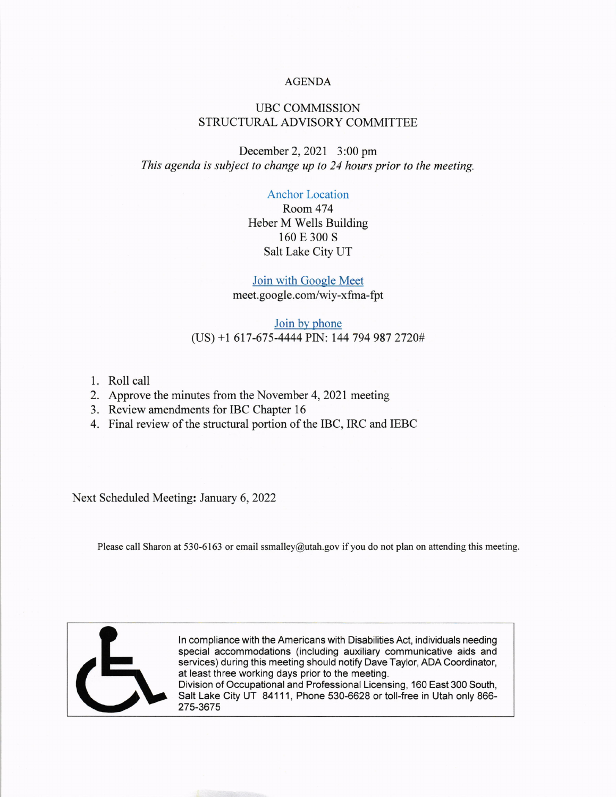## AGENDA

# UBC COMMISSION STRUCTURAL ADVISORY COMMITTEE

December 2,2021 3:00 pm This agenda is subject to change up to 24 hours prior to the meeting.

## Anchor Location

Room 474 Heber M Wells Building 160 E 300 s Salt Lake City UT

### Join with Gooqle Meet

meet.google.com/wiy-xfma-fpt

## Join by phone (US) +l 617-675-4444 PN: 144 794 987 2720#

- 1. Roll call
- 2. Approve the minutes from the November 4,2021 meeting
- 3. Review amendments for IBC Chapter <sup>16</sup>

275-3675

4. Final review of the structural portion of the IBC, IRC and IEBC

Next Scheduled Meeting: January 6,2022

Please call Sharon at 530-6163 or email ssmalley@utah.gov if you do not plan on attending this meeting.



ln compliance with the Americans with Disabilities Act, individuals needing special accommodations (including auxiliary communicative aids and services) during this meeting should notify Dave Taylor, ADA Coordinator, at least three working days prior to the meeting. Division of Occupational and Professional Licensing, 160 East 300 South, Salt Lake City UT 84111, Phone 530-6628 or toll-free in Utah only 866-